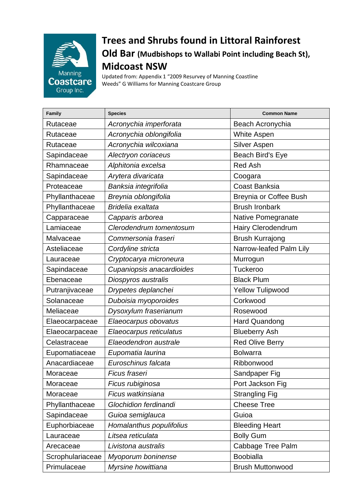

## **Trees and Shrubs found in Littoral Rainforest Old Bar (Mudbishops to Wallabi Point including Beach St), Midcoast NSW**

Updated from: Appendix 1 "2009 Resurvey of Manning Coastline Weeds" G Williams for Manning Coastcare Group

| Family           | <b>Species</b>            | <b>Common Name</b>      |
|------------------|---------------------------|-------------------------|
| Rutaceae         | Acronychia imperforata    | Beach Acronychia        |
| Rutaceae         | Acronychia oblongifolia   | <b>White Aspen</b>      |
| Rutaceae         | Acronychia wilcoxiana     | <b>Silver Aspen</b>     |
| Sapindaceae      | Alectryon coriaceus       | Beach Bird's Eye        |
| Rhamnaceae       | Alphitonia excelsa        | <b>Red Ash</b>          |
| Sapindaceae      | Arytera divaricata        | Coogara                 |
| Proteaceae       | Banksia integrifolia      | <b>Coast Banksia</b>    |
| Phyllanthaceae   | Breynia oblongifolia      | Breynia or Coffee Bush  |
| Phyllanthaceae   | Bridelia exaltata         | <b>Brush Ironbark</b>   |
| Capparaceae      | Capparis arborea          | Native Pomegranate      |
| Lamiaceae        | Clerodendrum tomentosum   | Hairy Clerodendrum      |
| Malvaceae        | Commersonia fraseri       | <b>Brush Kurrajong</b>  |
| Asteliaceae      | Cordyline stricta         | Narrow-leafed Palm Lily |
| Lauraceae        | Cryptocarya microneura    | Murrogun                |
| Sapindaceae      | Cupaniopsis anacardioides | Tuckeroo                |
| Ebenaceae        | Diospyros australis       | <b>Black Plum</b>       |
| Putranjivaceae   | Drypetes deplanchei       | <b>Yellow Tulipwood</b> |
| Solanaceae       | Duboisia myoporoides      | Corkwood                |
| Meliaceae        | Dysoxylum fraserianum     | Rosewood                |
| Elaeocarpaceae   | Elaeocarpus obovatus      | <b>Hard Quandong</b>    |
| Elaeocarpaceae   | Elaeocarpus reticulatus   | <b>Blueberry Ash</b>    |
| Celastraceae     | Elaeodendron australe     | <b>Red Olive Berry</b>  |
| Eupomatiaceae    | Eupomatia laurina         | <b>Bolwarra</b>         |
| Anacardiaceae    | Euroschinus falcata       | Ribbonwood              |
| Moraceae         | Ficus fraseri             | Sandpaper Fig           |
| Moraceae         | Ficus rubiginosa          | Port Jackson Fig        |
| Moraceae         | Ficus watkinsiana         | <b>Strangling Fig</b>   |
| Phyllanthaceae   | Glochidion ferdinandi     | <b>Cheese Tree</b>      |
| Sapindaceae      | Guioa semiglauca          | Guioa                   |
| Euphorbiaceae    | Homalanthus populifolius  | <b>Bleeding Heart</b>   |
| Lauraceae        | Litsea reticulata         | <b>Bolly Gum</b>        |
| Arecaceae        | Livistona australis       | Cabbage Tree Palm       |
| Scrophulariaceae | Myoporum boninense        | <b>Boobialla</b>        |
| Primulaceae      | Myrsine howittiana        | <b>Brush Muttonwood</b> |